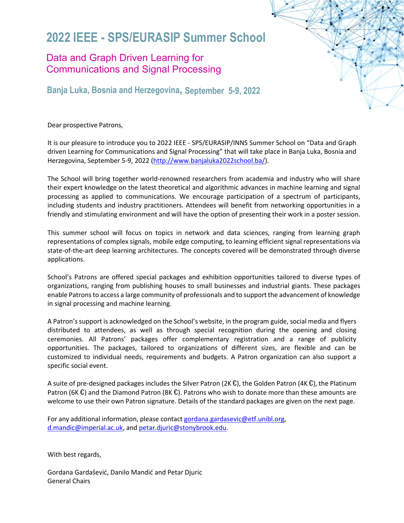# **2022 IEEE - SPS/EURASIP Summer School**

## Data and Graph Driven Learning for Communications and Signal Processing

**Banja Luka, Bosnia and Herzegovina, September 5-9, 2022** 

Dear prospective Patrons,

It is our pleasure to introduce you to 2022 IEEE - SPS/EURASIP/INNS Summer School on "Data and Graph driven Learning for Communications and Signal Processing" that will take place in Banja Luka, Bosnia and Herzegovina, September 5-9, 2022 [\(http://www.banjaluka2022school.ba/\)](http://www.banjaluka2022school.ba/).

The School will bring together world-renowned researchers from academia and industry who will share their expert knowledge on the latest theoretical and algorithmic advances in machine learning and signal processing as applied to communications. We encourage participation of a spectrum of participants, including students and industry practitioners. Attendees will benefit from networking opportunities in a friendly and stimulating environment and will have the option of presenting their work in a poster session.

This summer school will focus on topics in network and data sciences, ranging from learning graph representations of complex signals, mobile edge computing, to learning efficient signal representations via state-of-the-art deep learning architectures. The concepts covered will be demonstrated through diverse applications.

School's Patrons are offered special packages and exhibition opportunities tailored to diverse types of organizations, ranging from publishing houses to small businesses and industrial giants. These packages enable Patrons to access a large community of professionals and to support the advancement of knowledge in signal processing and machine learning.

A Patron's support is acknowledged on the School's website, in the program guide, social media and flyers distributed to attendees, as well as through special recognition during the opening and closing ceremonies. All Patrons' packages offer complementary registration and a range of publicity opportunities. The packages, tailored to organizations of different sizes, are flexible and can be customized to individual needs, requirements and budgets. A Patron organization can also support a specific social event.

A suite of pre-designed packages includes the Silver Patron (2K  $\epsilon$ ), the Golden Patron (4K  $\epsilon$ ), the Platinum Patron (6K  $\epsilon$ ) and the Diamond Patron (8K  $\epsilon$ ). Patrons who wish to donate more than these amounts are welcome to use their own Patron signature. Details of the standard packages are given on the next page.

For any additional information, please contact [gordana.gardasevic@etf.unibl.org,](mailto:gordana.gardasevic@etf.unibl.org) [d.mandic@imperial.ac.uk,](mailto:d.mandic@imperial.ac.uk) an[d petar.djuric@stonybrook.edu.](mailto:petar.djuric@stonybrook.edu)

With best regards,

Gordana Gardašević, Danilo Mandić and Petar Djuric General Chairs